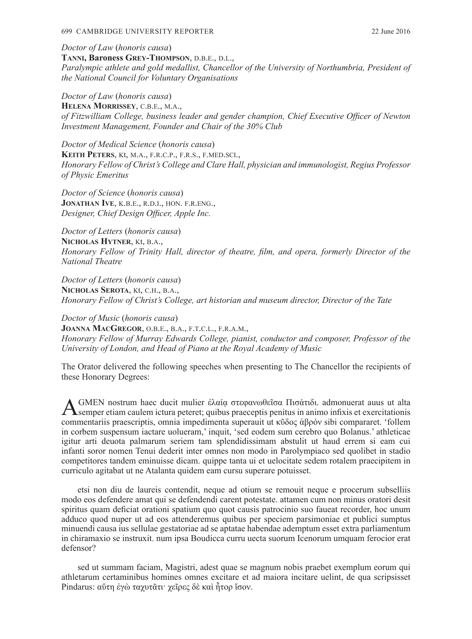#### 699 CAMBRIDGE UNIVERSITY REPORTER 22 June 2016

*Doctor of Law* (*honoris causa*) **Tanni, Baroness Grey-Thompson**, d.b.e., d.l., *Paralympic athlete and gold medallist, Chancellor of the University of Northumbria, President of the National Council for Voluntary Organisations*

*Doctor of Law* (*honoris causa*) **Helena Morrissey**, c.b.e., m.a., *of Fitzwilliam College, business leader and gender champion, Chief Executive Officer of Newton Investment Management, Founder and Chair of the 30% Club*

*Doctor of Medical Science* (*honoris causa*) **Keith Peters**, kt, m.a., f.r.c.p., f.r.s., f.med.sci., *Honorary Fellow of Christ's College and Clare Hall, physician and immunologist, Regius Professor of Physic Emeritus*

*Doctor of Science* (*honoris causa*) **Jonathan Ive**, k.b.e., r.d.i., hon. f.r.eng., *Designer, Chief Design Officer, Apple Inc.*

*Doctor of Letters* (*honoris causa*) **Nicholas Hytner**, kt, b.a., *Honorary Fellow of Trinity Hall, director of theatre, film, and opera, formerly Director of the National Theatre*

*Doctor of Letters* (*honoris causa*) **Nicholas Serota**, kt, c.h., b.a., *Honorary Fellow of Christ's College, art historian and museum director, Director of the Tate*

*Doctor of Music* (*honoris causa*) **Joanna MacGregor**, o.b.e., b.a., f.t.c.l., f.r.a.m., *Honorary Fellow of Murray Edwards College, pianist, conductor and composer, Professor of the University of London, and Head of Piano at the Royal Academy of Music*

The Orator delivered the following speeches when presenting to The Chancellor the recipients of these Honorary Degrees:

A GMEN nostrum haec ducit mulier ἐλαία στεφανωθεῖσα Πισάτιδι. admonuerat auus ut alta<br>
Semper etiam caulem ictura peteret; quibus praeceptis penitus in animo infixis et exercitationis commentariis praescriptis, omnia impedimenta superauit ut κῦδος ἁβρόν sibi compararet. 'follem in corbem suspensum iactare uolueram,' inquit, 'sed eodem sum cerebro quo Bolanus.' athleticae igitur arti deuota palmarum seriem tam splendidissimam abstulit ut haud errem si eam cui infanti soror nomen Tenui dederit inter omnes non modo in Parolympiaco sed quolibet in stadio competitores tandem eminuisse dicam. quippe tanta ui et uelocitate sedem rotalem praecipitem in curriculo agitabat ut ne Atalanta quidem eam cursu superare potuisset.

etsi non diu de laureis contendit, neque ad otium se remouit neque e procerum subselliis modo eos defendere amat qui se defendendi carent potestate. attamen cum non minus oratori desit spiritus quam deficiat orationi spatium quo quot causis patrocinio suo faueat recorder, hoc unum adduco quod nuper ut ad eos attenderemus quibus per speciem parsimoniae et publici sumptus minuendi causa ius sellulae gestatoriae ad se aptatae habendae ademptum esset extra parliamentum in chiramaxio se instruxit. num ipsa Boudicca curru uecta suorum Icenorum umquam ferocior erat defensor?

sed ut summam faciam, Magistri, adest quae se magnum nobis praebet exemplum eorum qui athletarum certaminibus homines omnes excitare et ad maiora incitare uelint, de qua scripsisset Pindarus: αὕτη ἐγὼ ταχυτᾶτι· χεῖρες δὲ καὶ ἦτορ ἴσον.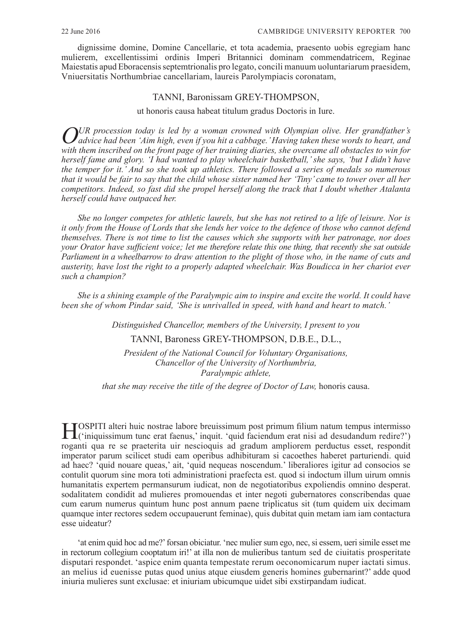dignissime domine, Domine Cancellarie, et tota academia, praesento uobis egregiam hanc mulierem, excellentissimi ordinis Imperi Britannici dominam commendatricem, Reginae Maiestatis apud Eboracensis septemtrionalis pro legato, concili manuum uoluntariarum praesidem, Vniuersitatis Northumbriae cancellariam, laureis Parolympiacis coronatam,

# TANNI, Baronissam GREY-THOMPSON,

ut honoris causa habeat titulum gradus Doctoris in Iure.

*OUR procession today is led by a woman crowned with Olympian olive. Her grandfather's advice had been 'Aim high, even if you hit a cabbage.' Having taken these words to heart, and with them inscribed on the front page of her training diaries, she overcame all obstacles to win for herself fame and glory. 'I had wanted to play wheelchair basketball,' she says, 'but I didn't have the temper for it.' And so she took up athletics. There followed a series of medals so numerous that it would be fair to say that the child whose sister named her 'Tiny' came to tower over all her competitors. Indeed, so fast did she propel herself along the track that I doubt whether Atalanta herself could have outpaced her.*

*She no longer competes for athletic laurels, but she has not retired to a life of leisure. Nor is it only from the House of Lords that she lends her voice to the defence of those who cannot defend themselves. There is not time to list the causes which she supports with her patronage, nor does your Orator have sufficient voice; let me therefore relate this one thing, that recently she sat outside Parliament in a wheelbarrow to draw attention to the plight of those who, in the name of cuts and austerity, have lost the right to a properly adapted wheelchair. Was Boudicca in her chariot ever such a champion?* 

*She is a shining example of the Paralympic aim to inspire and excite the world. It could have been she of whom Pindar said, 'She is unrivalled in speed, with hand and heart to match.'*

*Distinguished Chancellor, members of the University, I present to you* 

TANNI, Baroness GREY-THOMPSON, D.B.E., D.L.,

*President of the National Council for Voluntary Organisations, Chancellor of the University of Northumbria, Paralympic athlete,*

*that she may receive the title of the degree of Doctor of Law, honoris causa.* 

HOSPITI alteri huic nostrae labore breuissimum post primum filium natum tempus intermisso ('iniquissimum tunc erat faenus,' inquit. 'quid faciendum erat nisi ad desudandum redire?') roganti qua re se praeterita uir nescioquis ad gradum ampliorem perductus esset, respondit imperator parum scilicet studi eam operibus adhibituram si cacoethes haberet parturiendi. quid ad haec? 'quid nouare queas,' ait, 'quid nequeas noscendum.' liberaliores igitur ad consocios se contulit quorum sine mora toti administrationi praefecta est. quod si indoctum illum uirum omnis humanitatis expertem permansurum iudicat, non de negotiatoribus expoliendis omnino desperat. sodalitatem condidit ad mulieres promouendas et inter negoti gubernatores conscribendas quae cum earum numerus quintum hunc post annum paene triplicatus sit (tum quidem uix decimam quamque inter rectores sedem occupauerunt feminae), quis dubitat quin metam iam iam contactura esse uideatur?

'at enim quid hoc ad me?' forsan obiciatur. 'nec mulier sum ego, nec, si essem, ueri simile esset me in rectorum collegium cooptatum iri!' at illa non de mulieribus tantum sed de ciuitatis prosperitate disputari respondet. 'aspice enim quanta tempestate rerum oeconomicarum nuper iactati simus. an melius id euenisse putas quod unius atque eiusdem generis homines gubernarint?' adde quod iniuria mulieres sunt exclusae: et iniuriam ubicumque uidet sibi exstirpandam iudicat.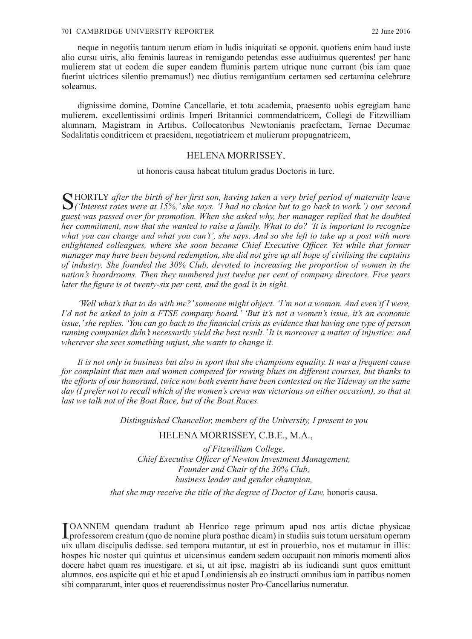neque in negotiis tantum uerum etiam in ludis iniquitati se opponit. quotiens enim haud iuste alio cursu uiris, alio feminis laureas in remigando petendas esse audiuimus querentes! per hanc mulierem stat ut eodem die super eandem fluminis partem utrique nunc currant (bis iam quae fuerint uictrices silentio premamus!) nec diutius remigantium certamen sed certamina celebrare soleamus.

dignissime domine, Domine Cancellarie, et tota academia, praesento uobis egregiam hanc mulierem, excellentissimi ordinis Imperi Britannici commendatricem, Collegi de Fitzwilliam alumnam, Magistram in Artibus, Collocatoribus Newtonianis praefectam, Ternae Decumae Sodalitatis conditricem et praesidem, negotiatricem et mulierum propugnatricem,

## HELENA MORRISSEY,

ut honoris causa habeat titulum gradus Doctoris in Iure.

SHORTLY after the birth of her first son, having taken a very brief period of maternity leave<br>
('Interest rates were at 15%,' she says. 'I had no choice but to go back to work.') our second *guest was passed over for promotion. When she asked why, her manager replied that he doubted her commitment, now that she wanted to raise a family. What to do? 'It is important to recognize what you can change and what you can't', she says. And so she left to take up a post with more enlightened colleagues, where she soon became Chief Executive Officer. Yet while that former manager may have been beyond redemption, she did not give up all hope of civilising the captains of industry. She founded the 30% Club, devoted to increasing the proportion of women in the nation's boardrooms. Then they numbered just twelve per cent of company directors. Five years later the figure is at twenty-six per cent, and the goal is in sight.*

*'Well what's that to do with me?' someone might object. 'I'm not a woman. And even if I were, I'd not be asked to join a FTSE company board.' 'But it's not a women's issue, it's an economic issue,' she replies. 'You can go back to the financial crisis as evidence that having one type of person running companies didn't necessarily yield the best result.' It is moreover a matter of injustice; and wherever she sees something unjust, she wants to change it.*

*It is not only in business but also in sport that she champions equality. It was a frequent cause for complaint that men and women competed for rowing blues on different courses, but thanks to the efforts of our honorand, twice now both events have been contested on the Tideway on the same day (I prefer not to recall which of the women's crews was victorious on either occasion), so that at last we talk not of the Boat Race, but of the Boat Races.*

*Distinguished Chancellor, members of the University, I present to you*

## HELENA MORRISSEY, C.B.E., M.A.,

*of Fitzwilliam College, Chief Executive Officer of Newton Investment Management, Founder and Chair of the 30% Club, business leader and gender champion,* 

*that she may receive the title of the degree of Doctor of Law, honoris causa.* 

I professorem creatum (quo de nomine plura posthac dicam) in studiis suis totum uersatum operam OANNEM quendam tradunt ab Henrico rege primum apud nos artis dictae physicae uix ullam discipulis dedisse. sed tempora mutantur, ut est in prouerbio, nos et mutamur in illis: hospes hic noster qui quintus et uicensimus eandem sedem occupauit non minoris momenti alios docere habet quam res inuestigare. et si, ut ait ipse, magistri ab iis iudicandi sunt quos emittunt alumnos, eos aspicite qui et hic et apud Londiniensis ab eo instructi omnibus iam in partibus nomen sibi compararunt, inter quos et reuerendissimus noster Pro-Cancellarius numeratur.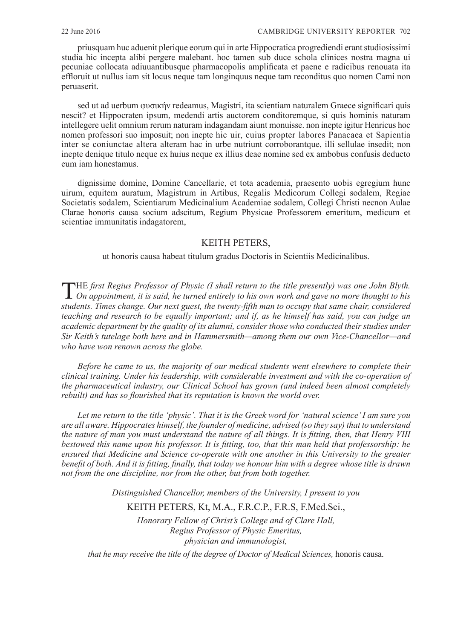priusquam huc aduenit plerique eorum qui in arte Hippocratica progrediendi erant studiosissimi studia hic incepta alibi pergere malebant. hoc tamen sub duce schola clinices nostra magna ui pecuniae collocata adiuuantibusque pharmacopolis amplificata et paene e radicibus renouata ita effloruit ut nullus iam sit locus neque tam longinquus neque tam reconditus quo nomen Cami non peruaserit.

sed ut ad uerbum φυσικήν redeamus, Magistri, ita scientiam naturalem Graece significari quis nescit? et Hippocraten ipsum, medendi artis auctorem conditoremque, si quis hominis naturam intellegere uelit omnium rerum naturam indagandam aiunt monuisse. non inepte igitur Henricus hoc nomen professori suo imposuit; non inepte hic uir, cuius propter labores Panacaea et Sapientia inter se coniunctae altera alteram hac in urbe nutriunt corroborantque, illi sellulae insedit; non inepte denique titulo neque ex huius neque ex illius deae nomine sed ex ambobus confusis deducto eum iam honestamus.

dignissime domine, Domine Cancellarie, et tota academia, praesento uobis egregium hunc uirum, equitem auratum, Magistrum in Artibus, Regalis Medicorum Collegi sodalem, Regiae Societatis sodalem, Scientiarum Medicinalium Academiae sodalem, Collegi Christi necnon Aulae Clarae honoris causa socium adscitum, Regium Physicae Professorem emeritum, medicum et scientiae immunitatis indagatorem,

# KEITH PETERS,

ut honoris causa habeat titulum gradus Doctoris in Scientiis Medicinalibus.

THE *first Regius Professor of Physic (I shall return to the title presently) was one John Blyth. On appointment, it is said, he turned entirely to his own work and gave no more thought to his students. Times change. Our next guest, the twenty-fifth man to occupy that same chair, considered teaching and research to be equally important; and if, as he himself has said, you can judge an academic department by the quality of its alumni, consider those who conducted their studies under Sir Keith's tutelage both here and in Hammersmith—among them our own Vice-Chancellor—and who have won renown across the globe.*

*Before he came to us, the majority of our medical students went elsewhere to complete their clinical training. Under his leadership, with considerable investment and with the co-operation of the pharmaceutical industry, our Clinical School has grown (and indeed been almost completely rebuilt) and has so flourished that its reputation is known the world over.*

*Let me return to the title 'physic'. That it is the Greek word for 'natural science' I am sure you are all aware. Hippocrates himself, the founder of medicine, advised (so they say) that to understand the nature of man you must understand the nature of all things. It is fitting, then, that Henry VIII bestowed this name upon his professor. It is fitting, too, that this man held that professorship: he ensured that Medicine and Science co-operate with one another in this University to the greater benefit of both. And it is fitting, finally, that today we honour him with a degree whose title is drawn not from the one discipline, nor from the other, but from both together.*

*Distinguished Chancellor, members of the University, I present to you* 

# KEITH PETERS, Kt, M.A., F.R.C.P., F.R.S, F.Med.Sci.,

*Honorary Fellow of Christ's College and of Clare Hall, Regius Professor of Physic Emeritus, physician and immunologist,*

*that he may receive the title of the degree of Doctor of Medical Sciences, honoris causa.*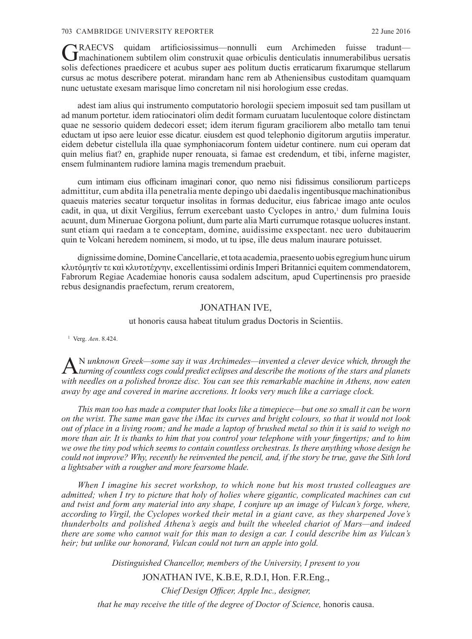#### 703 CAMBRIDGE UNIVERSITY REPORTER 22 June 2016

GRAECVS quidam artificiosissimus—nonnulli eum Archimeden fuisse tradunt— machinationem subtilem olim construxit quae orbiculis denticulatis innumerabilibus uersatis solis defectiones praedicere et acubus super aes politum ductis erraticarum fixarumque stellarum cursus ac motus describere poterat. mirandam hanc rem ab Atheniensibus custoditam quamquam nunc uetustate exesam marisque limo concretam nil nisi horologium esse credas.

adest iam alius qui instrumento computatorio horologii speciem imposuit sed tam pusillam ut ad manum portetur. idem ratiocinatori olim dedit formam curuatam luculentoque colore distinctam quae ne sessorio quidem dedecori esset; idem iterum figuram graciliorem albo metallo tam tenui eductam ut ipso aere leuior esse dicatur. eiusdem est quod telephonio digitorum argutiis imperatur. eidem debetur cistellula illa quae symphoniacorum fontem uidetur continere. num cui operam dat quin melius fiat? en, graphide nuper renouata, si famae est credendum, et tibi, inferne magister, ensem fulminantem rudiore lamina magis tremendum praebuit.

cum intimam eius officinam imaginari conor, quo nemo nisi fidissimus consiliorum particeps admittitur, cum abdita illa penetralia mente depingo ubi daedalis ingentibusque machinationibus quaeuis materies secatur torquetur insolitas in formas deducitur, eius fabricae imago ante oculos cadit, in qua, ut dixit Vergilius, ferrum exercebant uasto Cyclopes in antro,<sup>1</sup> dum fulmina Iouis acuunt, dum Mineruae Gorgona poliunt, dum parte alia Marti currumque rotasque uolucres instant. sunt etiam qui raedam a te conceptam, domine, auidissime exspectant. nec uero dubitauerim quin te Volcani heredem nominem, si modo, ut tu ipse, ille deus malum inaurare potuisset.

dignissime domine, Domine Cancellarie, et tota academia, praesento uobis egregium hunc uirum κλυτόμητίν τε καὶ κλυτοτέχνην, excellentissimi ordinis Imperi Britannici equitem commendatorem, Fabrorum Regiae Academiae honoris causa sodalem adscitum, apud Cupertinensis pro praeside rebus designandis praefectum, rerum creatorem,

## JONATHAN IVE,

ut honoris causa habeat titulum gradus Doctoris in Scientiis.

<sup>1</sup> Verg. *Aen*. 8.424.

A <sup>N</sup> unknown Greek—some say it was Archimedes—invented a clever device which, through the<br> *turning of countless cogs could predict eclipses and describe the motions of the stars and planets with needles on a polished bronze disc. You can see this remarkable machine in Athens, now eaten away by age and covered in marine accretions. It looks very much like a carriage clock.*

*This man too has made a computer that looks like a timepiece—but one so small it can be worn on the wrist. The same man gave the iMac its curves and bright colours, so that it would not look out of place in a living room; and he made a laptop of brushed metal so thin it is said to weigh no more than air. It is thanks to him that you control your telephone with your fingertips; and to him we owe the tiny pod which seems to contain countless orchestras. Is there anything whose design he could not improve? Why, recently he reinvented the pencil, and, if the story be true, gave the Sith lord a lightsaber with a rougher and more fearsome blade.*

*When I imagine his secret workshop, to which none but his most trusted colleagues are admitted; when I try to picture that holy of holies where gigantic, complicated machines can cut and twist and form any material into any shape, I conjure up an image of Vulcan's forge, where, according to Virgil, the Cyclopes worked their metal in a giant cave, as they sharpened Jove's thunderbolts and polished Athena's aegis and built the wheeled chariot of Mars—and indeed there are some who cannot wait for this man to design a car. I could describe him as Vulcan's heir; but unlike our honorand, Vulcan could not turn an apple into gold.*

*Distinguished Chancellor, members of the University, I present to you* 

JONATHAN IVE, K.B.E, R.D.I, Hon. F.R.Eng.,

*Chief Design Officer, Apple Inc., designer,* 

*that he may receive the title of the degree of Doctor of Science, honoris causa.*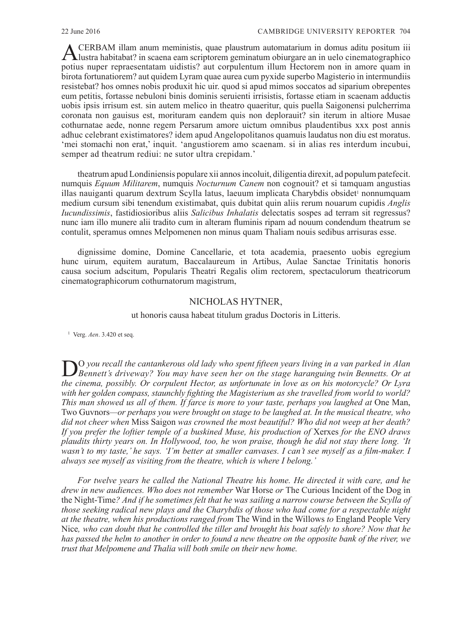ACERBAM illam anum meministis, quae plaustrum automatarium in domus aditu positum iii lustra habitabat? in scaena eam scriptorem geminatum obiurgare an in uelo cinematographico potius nuper repraesentatam uidistis? aut corpulentum illum Hectorem non in amore quam in birota fortunatiorem? aut quidem Lyram quae aurea cum pyxide superbo Magisterio in intermundiis resistebat? hos omnes nobis produxit hic uir. quod si apud mimos soccatos ad siparium obrepentes eum petitis, fortasse nebuloni binis dominis seruienti irrisistis, fortasse etiam in scaenam adductis uobis ipsis irrisum est. sin autem melico in theatro quaeritur, quis puella Saigonensi pulcherrima coronata non gauisus est, morituram eandem quis non deplorauit? sin iterum in altiore Musae cothurnatae aede, nonne regem Persarum amore uictum omnibus plaudentibus xxx post annis adhuc celebrant existimatores? idem apud Angelopolitanos quamuis laudatus non diu est moratus. 'mei stomachi non erat,' inquit. 'angustiorem amo scaenam. si in alias res interdum incubui, semper ad theatrum rediui: ne sutor ultra crepidam.'

theatrum apud Londiniensis populare xii annos incoluit, diligentia direxit, ad populum patefecit. numquis *Equum Militarem*, numquis *Nocturnum Canem* non cognouit? et si tamquam angustias illas nauiganti quarum dextrum Scylla latus, laeuum implicata Charybdis obsidet<sup>1</sup> nonnumquam medium cursum sibi tenendum existimabat, quis dubitat quin aliis rerum nouarum cupidis *Anglis Iucundissimis*, fastidiosioribus aliis *Salicibus Inhalatis* delectatis sospes ad terram sit regressus? nunc iam illo munere alii tradito cum in alteram fluminis ripam ad nouum condendum theatrum se contulit, speramus omnes Melpomenen non minus quam Thaliam nouis sedibus arrisuras esse.

dignissime domine, Domine Cancellarie, et tota academia, praesento uobis egregium hunc uirum, equitem auratum, Baccalaureum in Artibus, Aulae Sanctae Trinitatis honoris causa socium adscitum, Popularis Theatri Regalis olim rectorem, spectaculorum theatricorum cinematographicorum cothurnatorum magistrum,

#### NICHOLAS HYTNER,

ut honoris causa habeat titulum gradus Doctoris in Litteris.

<sup>1</sup> Verg. *Aen*. 3.420 et seq.

DO *you recall the cantankerous old lady who spent fifteen years living in a van parked in Alan Bennett's driveway? You may have seen her on the stage haranguing twin Bennetts. Or at the cinema, possibly. Or corpulent Hector, as unfortunate in love as on his motorcycle? Or Lyra with her golden compass, staunchly fighting the Magisterium as she travelled from world to world? This man showed us all of them. If farce is more to your taste, perhaps you laughed at* One Man, Two Guvnors*—or perhaps you were brought on stage to be laughed at. In the musical theatre, who did not cheer when* Miss Saigon *was crowned the most beautiful? Who did not weep at her death? If you prefer the loftier temple of a buskined Muse, his production of* Xerxes *for the ENO draws plaudits thirty years on. In Hollywood, too, he won praise, though he did not stay there long. 'It wasn't to my taste,' he says. 'I'm better at smaller canvases. I can't see myself as a film-maker. I always see myself as visiting from the theatre, which is where I belong.'*

*For twelve years he called the National Theatre his home. He directed it with care, and he drew in new audiences. Who does not remember* War Horse *or* The Curious Incident of the Dog in the Night-Time*? And if he sometimes felt that he was sailing a narrow course between the Scylla of those seeking radical new plays and the Charybdis of those who had come for a respectable night at the theatre, when his productions ranged from* The Wind in the Willows *to* England People Very Nice*, who can doubt that he controlled the tiller and brought his boat safely to shore? Now that he has passed the helm to another in order to found a new theatre on the opposite bank of the river, we trust that Melpomene and Thalia will both smile on their new home.*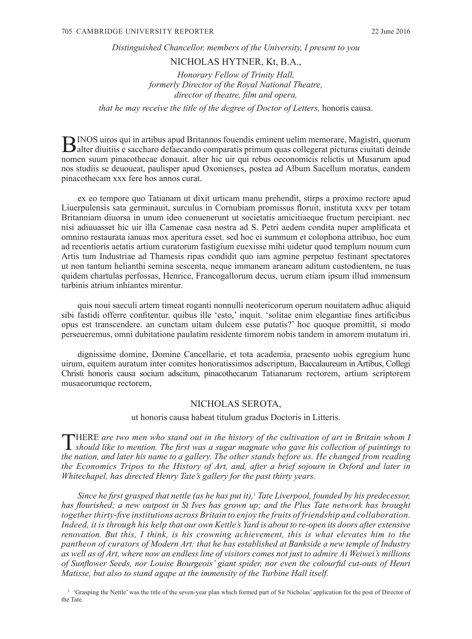*Distinguished Chancellor, members of the University, I present to you*

### NICHOLAS HYTNER, Kt, B.A.,

*Honorary Fellow of Trinity Hall, formerly Director of the Royal National Theatre, director of theatre, film and opera,* 

*that he may receive the title of the degree of Doctor of Letters, honoris causa.* 

BINOS uiros qui in artibus apud Britannos fouendis eminent uelim memorare, Magistri, quorum alter diuitiis e saccharo defaecando comparatis primum quas collegerat picturas ciuitati deinde nomen suum pinacothecae donauit. alter hic uir qui rebus oeconomicis relictis ut Musarum apud nos studiis se deuoueat, paulisper apud Oxonienses, postea ad Album Sacellum moratus, eandem pinacothecam xxx fere hos annos curat.

ex eo tempore quo Tatianam ut dixit urticam manu prehendit, stirps a proximo rectore apud Liuerpulensis sata germinauit, surculus in Cornubiam promissus floruit, instituta xxxv per totam Britanniam diuorsa in unum ideo conuenerunt ut societatis amicitiaeque fructum percipiant. nec nisi adiuuasset hic uir illa Camenae casa nostra ad S. Petri aedem condita nuper amplificata et omnino restaurata ianuas mox aperitura esset. sed hoc ei summum et colophona attribuo, hoc eum ad recentioris aetatis artium curatorum fastigium euexisse mihi uidetur quod templum nouum cum Artis tum Industriae ad Thamesis ripas condidit quo iam agmine perpetuo festinant spectatores ut non tantum helianthi semina sescenta, neque immanem araneam aditum custodientem, ne tuas quidem chartulas perfossas, Henrice, Francogallorum decus, uerum etiam ipsum illud immensum turbinis atrium inhiantes mirentur.

quis noui saeculi artem timeat roganti nonnulli neotericorum operum nouitatem adhuc aliquid sibi fastidi offerre confitentur. quibus ille 'esto,' inquit. 'solitae enim elegantiae fines artificibus opus est transcendere. an cunctam uitam dulcem esse putatis?' hoc quoque promittit, si modo perseueremus, omni dubitatione paulatim residente timorem nobis tandem in amorem mutatum iri.

dignissime domine, Domine Cancellarie, et tota academia, praesento uobis egregium hunc uirum, equitem auratum inter comites honoratissimos adscriptum, Baccalaureum in Artibus, Collegi Christi honoris causa socium adscitum, pinacothecarum Tatianarum rectorem, artium scriptorem musaeorumque rectorem,

#### NICHOLAS SEROTA,

ut honoris causa habeat titulum gradus Doctoris in Litteris.

THERE are two men who stand out in the history of the cultivation of art in Britain whom I should like to mention. The first was a sugar magnate who gave his collection of paintings to *the nation, and later his name to a gallery. The other stands before us. He changed from reading the Economics Tripos to the History of Art, and, after a brief sojourn in Oxford and later in Whitechapel, has directed Henry Tate's gallery for the past thirty years.*

*Since he first grasped that nettle (as he has put it),*<sup>1</sup>  *Tate Liverpool, founded by his predecessor, has flourished; a new outpost in St Ives has grown up; and the Plus Tate network has brought together thirty-five institutions across Britain to enjoy the fruits of friendship and collaboration. Indeed, it is through his help that our own Kettle's Yard is about to re-open its doors after extensive renovation. But this, I think, is his crowning achievement, this is what elevates him to the pantheon of curators of Modern Art: that he has established at Bankside a new temple of Industry as well as of Art, where now an endless line of visitors comes not just to admire Ai Weiwei's millions of Sunflower Seeds, nor Louise Bourgeois' giant spider, nor even the colourful cut-outs of Henri Matisse, but also to stand agape at the immensity of the Turbine Hall itself.*

<sup>1</sup> 'Grasping the Nettle' was the title of the seven-year plan which formed part of Sir Nicholas' application for the post of Director of the Tate.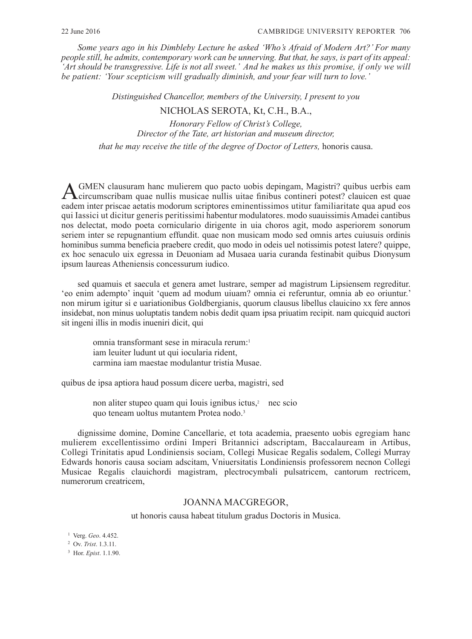*Some years ago in his Dimbleby Lecture he asked 'Who's Afraid of Modern Art?' For many people still, he admits, contemporary work can be unnerving. But that, he says, is part of its appeal: 'Art should be transgressive. Life is not all sweet.' And he makes us this promise, if only we will be patient: 'Your scepticism will gradually diminish, and your fear will turn to love.'*

*Distinguished Chancellor, members of the University, I present to you* 

# NICHOLAS SEROTA, Kt, C.H., B.A.,

*Honorary Fellow of Christ's College, Director of the Tate, art historian and museum director,* 

*that he may receive the title of the degree of Doctor of Letters, honoris causa.* 

AGMEN clausuram hanc mulierem quo pacto uobis depingam, Magistri? quibus uerbis eam circumscribam quae nullis musicae nullis uitae finibus contineri potest? clauicen est quae eadem inter priscae aetatis modorum scriptores eminentissimos utitur familiaritate qua apud eos qui Iassici ut dicitur generis peritissimi habentur modulatores. modo suauissimis Amadei cantibus nos delectat, modo poeta corniculario dirigente in uia choros agit, modo asperiorem sonorum seriem inter se repugnantium effundit. quae non musicam modo sed omnis artes cuiusuis ordinis hominibus summa beneficia praebere credit, quo modo in odeis uel notissimis potest latere? quippe, ex hoc senaculo uix egressa in Deuoniam ad Musaea uaria curanda festinabit quibus Dionysum ipsum laureas Atheniensis concessurum iudico.

sed quamuis et saecula et genera amet lustrare, semper ad magistrum Lipsiensem regreditur. 'eo enim adempto' inquit 'quem ad modum uiuam? omnia ei referuntur, omnia ab eo oriuntur.' non mirum igitur si e uariationibus Goldbergianis, quorum clausus libellus clauicino xx fere annos insidebat, non minus uoluptatis tandem nobis dedit quam ipsa priuatim recipit. nam quicquid auctori sit ingeni illis in modis inueniri dicit, qui

omnia transformant sese in miracula rerum:1 iam leuiter ludunt ut qui iocularia rident, carmina iam maestae modulantur tristia Musae.

quibus de ipsa aptiora haud possum dicere uerba, magistri, sed

non aliter stupeo quam qui Iouis ignibus ictus,<sup>2</sup> nec scio quo teneam uoltus mutantem Protea nodo.3

dignissime domine, Domine Cancellarie, et tota academia, praesento uobis egregiam hanc mulierem excellentissimo ordini Imperi Britannici adscriptam, Baccalauream in Artibus, Collegi Trinitatis apud Londiniensis sociam, Collegi Musicae Regalis sodalem, Collegi Murray Edwards honoris causa sociam adscitam, Vniuersitatis Londiniensis professorem necnon Collegi Musicae Regalis clauichordi magistram, plectrocymbali pulsatricem, cantorum rectricem, numerorum creatricem,

## JOANNA MACGREGOR,

ut honoris causa habeat titulum gradus Doctoris in Musica.

<sup>1</sup> Verg. *Geo*. 4.452.

<sup>3</sup> Hor. *Epist*. 1.1.90.

<sup>2</sup> Ov. *Trist*. 1.3.11.